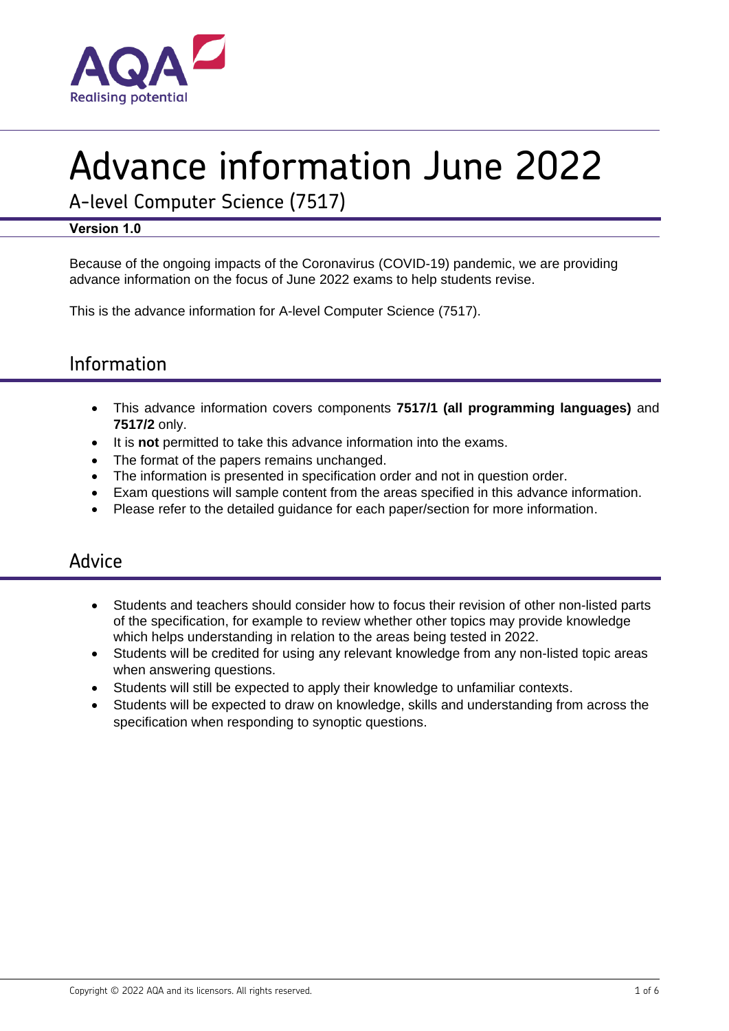

# Advance information June 2022

A-level Computer Science (7517)

#### **Version 1.0**

Because of the ongoing impacts of the Coronavirus (COVID-19) pandemic, we are providing advance information on the focus of June 2022 exams to help students revise.

This is the advance information for A-level Computer Science (7517).

## Information

- This advance information covers components **7517/1 (all programming languages)** and **7517/2** only.
- It is **not** permitted to take this advance information into the exams.
- The format of the papers remains unchanged.
- The information is presented in specification order and not in question order.
- Exam questions will sample content from the areas specified in this advance information.
- Please refer to the detailed guidance for each paper/section for more information.

### Advice

- Students and teachers should consider how to focus their revision of other non-listed parts of the specification, for example to review whether other topics may provide knowledge which helps understanding in relation to the areas being tested in 2022.
- Students will be credited for using any relevant knowledge from any non-listed topic areas when answering questions.
- Students will still be expected to apply their knowledge to unfamiliar contexts.
- Students will be expected to draw on knowledge, skills and understanding from across the specification when responding to synoptic questions.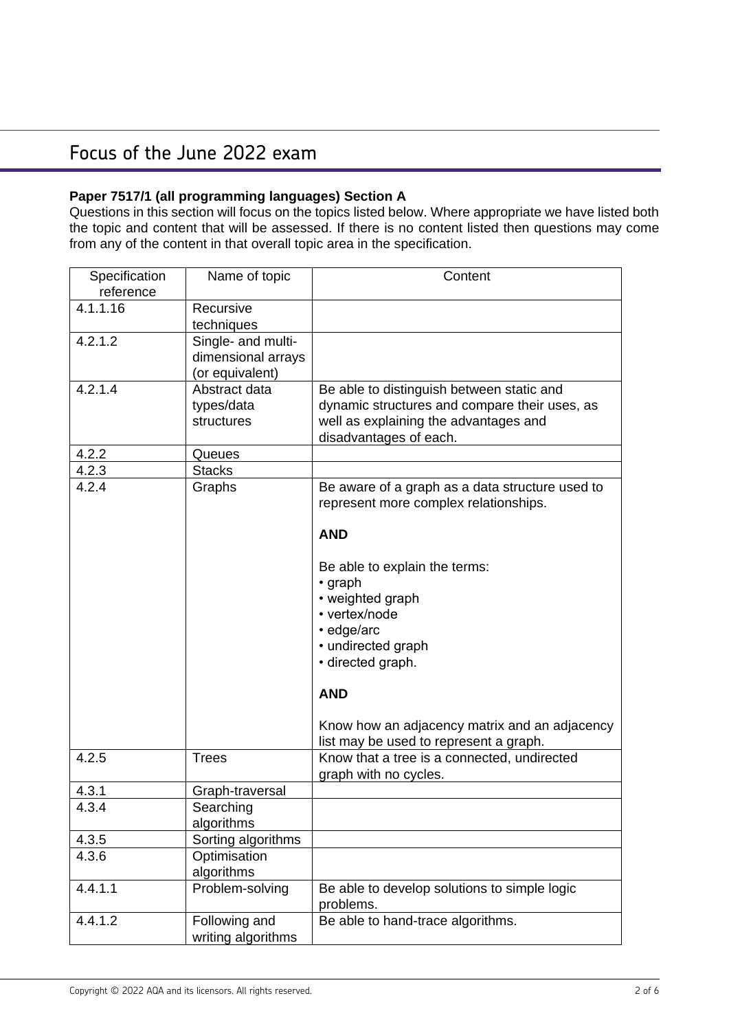#### **Paper 7517/1 (all programming languages) Section A**

Questions in this section will focus on the topics listed below. Where appropriate we have listed both the topic and content that will be assessed. If there is no content listed then questions may come from any of the content in that overall topic area in the specification.

| Specification<br>reference | Name of topic      | Content                                         |
|----------------------------|--------------------|-------------------------------------------------|
| 4.1.1.16                   | Recursive          |                                                 |
|                            | techniques         |                                                 |
| 4.2.1.2                    | Single- and multi- |                                                 |
|                            | dimensional arrays |                                                 |
|                            | (or equivalent)    |                                                 |
| 4.2.1.4                    | Abstract data      | Be able to distinguish between static and       |
|                            | types/data         | dynamic structures and compare their uses, as   |
|                            | structures         | well as explaining the advantages and           |
|                            |                    | disadvantages of each.                          |
| 4.2.2                      | Queues             |                                                 |
| 4.2.3                      | <b>Stacks</b>      |                                                 |
| 4.2.4                      | Graphs             | Be aware of a graph as a data structure used to |
|                            |                    | represent more complex relationships.           |
|                            |                    | <b>AND</b>                                      |
|                            |                    |                                                 |
|                            |                    | Be able to explain the terms:                   |
|                            |                    | • graph                                         |
|                            |                    | • weighted graph                                |
|                            |                    | • vertex/node                                   |
|                            |                    | · edge/arc                                      |
|                            |                    | • undirected graph                              |
|                            |                    | · directed graph.                               |
|                            |                    | <b>AND</b>                                      |
|                            |                    | Know how an adjacency matrix and an adjacency   |
|                            |                    | list may be used to represent a graph.          |
| 4.2.5                      | <b>Trees</b>       | Know that a tree is a connected, undirected     |
|                            |                    | graph with no cycles.                           |
| 4.3.1                      | Graph-traversal    |                                                 |
| 4.3.4                      | Searching          |                                                 |
|                            | algorithms         |                                                 |
| 4.3.5                      | Sorting algorithms |                                                 |
| 4.3.6                      | Optimisation       |                                                 |
|                            | algorithms         |                                                 |
| 4.4.1.1                    | Problem-solving    | Be able to develop solutions to simple logic    |
|                            |                    | problems.                                       |
| 4.4.1.2                    | Following and      | Be able to hand-trace algorithms.               |
|                            | writing algorithms |                                                 |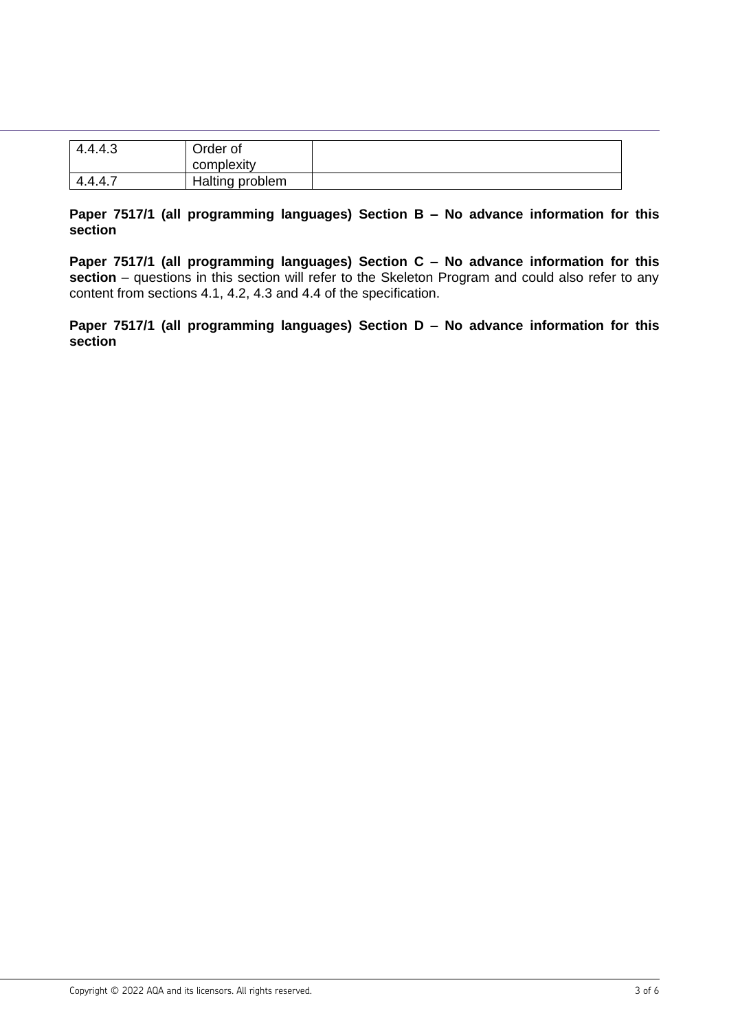| 4.4.4.3 | Order of<br>complexity |  |
|---------|------------------------|--|
| 4.4.4.  | Halting problem        |  |

#### **Paper 7517/1 (all programming languages) Section B – No advance information for this section**

**Paper 7517/1 (all programming languages) Section C – No advance information for this**  section – questions in this section will refer to the Skeleton Program and could also refer to any content from sections 4.1, 4.2, 4.3 and 4.4 of the specification.

**Paper 7517/1 (all programming languages) Section D – No advance information for this section**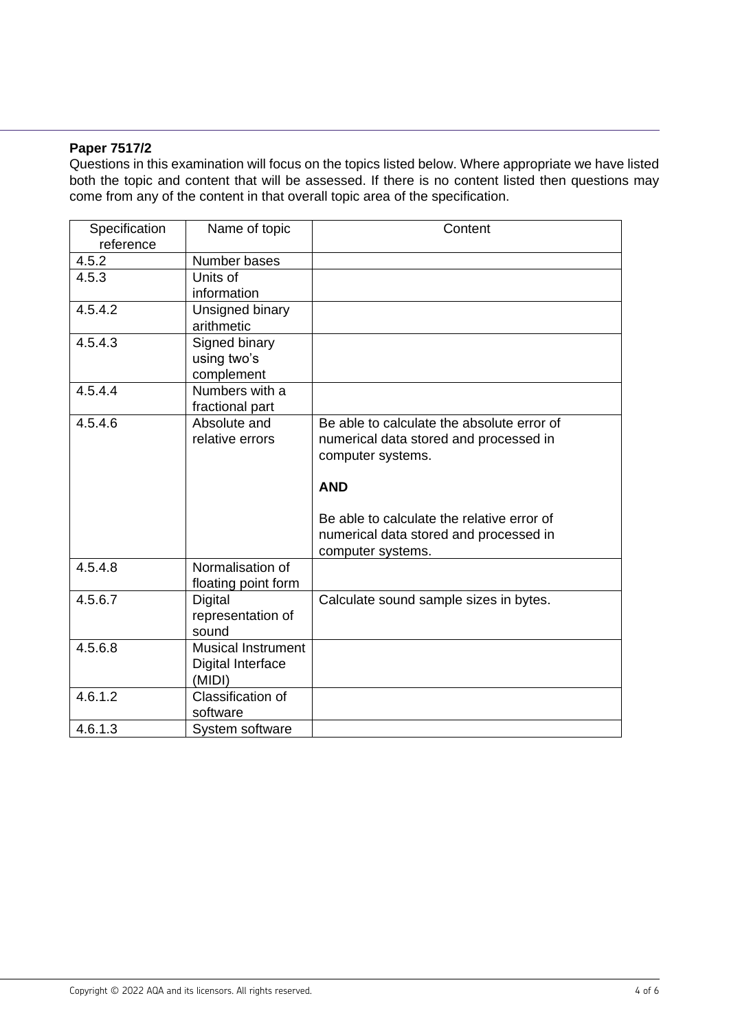#### **Paper 7517/2**

Questions in this examination will focus on the topics listed below. Where appropriate we have listed both the topic and content that will be assessed. If there is no content listed then questions may come from any of the content in that overall topic area of the specification.

| Specification<br>reference | Name of topic                                            | Content                                                                                                                                                                                                                              |
|----------------------------|----------------------------------------------------------|--------------------------------------------------------------------------------------------------------------------------------------------------------------------------------------------------------------------------------------|
| 4.5.2                      | Number bases                                             |                                                                                                                                                                                                                                      |
| 4.5.3                      | Units of<br>information                                  |                                                                                                                                                                                                                                      |
| 4.5.4.2                    | Unsigned binary<br>arithmetic                            |                                                                                                                                                                                                                                      |
| 4.5.4.3                    | Signed binary<br>using two's<br>complement               |                                                                                                                                                                                                                                      |
| 4.5.4.4                    | Numbers with a<br>fractional part                        |                                                                                                                                                                                                                                      |
| 4.5.4.6                    | Absolute and<br>relative errors                          | Be able to calculate the absolute error of<br>numerical data stored and processed in<br>computer systems.<br><b>AND</b><br>Be able to calculate the relative error of<br>numerical data stored and processed in<br>computer systems. |
| 4.5.4.8                    | Normalisation of<br>floating point form                  |                                                                                                                                                                                                                                      |
| 4.5.6.7                    | <b>Digital</b><br>representation of<br>sound             | Calculate sound sample sizes in bytes.                                                                                                                                                                                               |
| 4.5.6.8                    | <b>Musical Instrument</b><br>Digital Interface<br>(MIDI) |                                                                                                                                                                                                                                      |
| 4.6.1.2                    | Classification of<br>software                            |                                                                                                                                                                                                                                      |
| 4.6.1.3                    | System software                                          |                                                                                                                                                                                                                                      |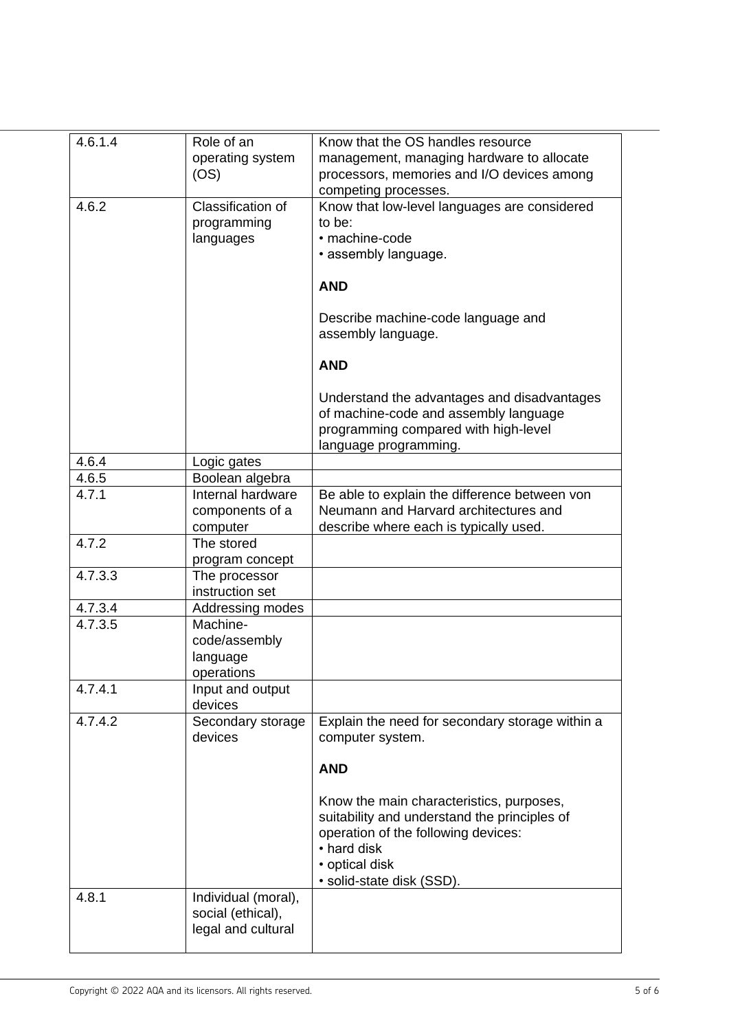| 4.6.1.4 | Role of an             | Know that the OS handles resource                                    |
|---------|------------------------|----------------------------------------------------------------------|
|         | operating system       | management, managing hardware to allocate                            |
|         | (OS)                   | processors, memories and I/O devices among                           |
| 4.6.2   | Classification of      | competing processes.<br>Know that low-level languages are considered |
|         | programming            | to be:                                                               |
|         | languages              | · machine-code                                                       |
|         |                        | • assembly language.                                                 |
|         |                        |                                                                      |
|         |                        | <b>AND</b>                                                           |
|         |                        | Describe machine-code language and                                   |
|         |                        | assembly language.                                                   |
|         |                        |                                                                      |
|         |                        | <b>AND</b>                                                           |
|         |                        | Understand the advantages and disadvantages                          |
|         |                        | of machine-code and assembly language                                |
|         |                        | programming compared with high-level                                 |
|         |                        | language programming.                                                |
| 4.6.4   | Logic gates            |                                                                      |
| 4.6.5   | Boolean algebra        |                                                                      |
| 4.7.1   | Internal hardware      | Be able to explain the difference between von                        |
|         | components of a        | Neumann and Harvard architectures and                                |
| 4.7.2   | computer<br>The stored | describe where each is typically used.                               |
|         | program concept        |                                                                      |
| 4.7.3.3 | The processor          |                                                                      |
|         | instruction set        |                                                                      |
| 4.7.3.4 | Addressing modes       |                                                                      |
| 4.7.3.5 | Machine-               |                                                                      |
|         | code/assembly          |                                                                      |
|         | language               |                                                                      |
|         | operations             |                                                                      |
| 4.7.4.1 | Input and output       |                                                                      |
|         | devices                |                                                                      |
| 4.7.4.2 | Secondary storage      | Explain the need for secondary storage within a                      |
|         | devices                | computer system.                                                     |
|         |                        | <b>AND</b>                                                           |
|         |                        | Know the main characteristics, purposes,                             |
|         |                        | suitability and understand the principles of                         |
|         |                        | operation of the following devices:                                  |
|         |                        | • hard disk                                                          |
|         |                        | • optical disk                                                       |
|         |                        | · solid-state disk (SSD).                                            |
| 4.8.1   | Individual (moral),    |                                                                      |
|         | social (ethical),      |                                                                      |
|         | legal and cultural     |                                                                      |
|         |                        |                                                                      |